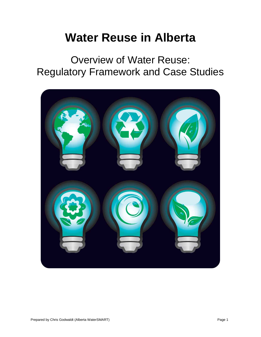# **Water Reuse in Alberta**

Overview of Water Reuse: Regulatory Framework and Case Studies

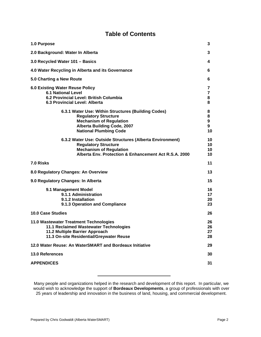### **Table of Contents**

| 3                      |
|------------------------|
| 3                      |
| 4                      |
| 6                      |
| 6                      |
| 7<br>7<br>8<br>8       |
| 8<br>8<br>9<br>9<br>10 |
| 10<br>10<br>10<br>10   |
| 11                     |
| 13                     |
| 15                     |
| 16<br>17<br>20<br>23   |
| 26                     |
| 26<br>26<br>27<br>28   |
| 29                     |
| 30                     |
| 31                     |
|                        |

Many people and organizations helped in the research and development of this report. In particular, we would wish to acknowledge the support of **Bordeaux Developments**, a group of professionals with over 25 years of leadership and innovation in the business of land, housing, and commercial development.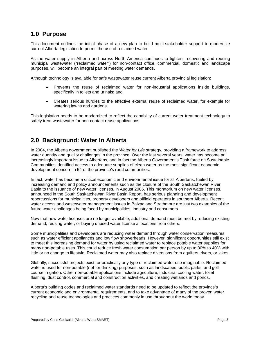### **1.0 Purpose**

This document outlines the initial phase of a new plan to build multi-stakeholder support to modernize current Alberta legislation to permit the use of reclaimed water.

As the water supply in Alberta and across North America continues to tighten, recovering and reusing municipal wastewater ("reclaimed water") for non-contact office, commercial, domestic and landscape purposes, will become an integral part of meeting water demands.

Although technology is available for safe wastewater reuse current Alberta provincial legislation:

- Prevents the reuse of reclaimed water for non-industrial applications inside buildings, specifically in toilets and urinals; and,
- Creates serious hurdles to the effective external reuse of reclaimed water, for example for watering lawns and gardens.

This legislation needs to be modernized to reflect the capability of current water treatment technology to safely treat wastewater for non-contact reuse applications.

### **2.0 Background: Water In Alberta**

In 2004, the Alberta government published the *Water for Life* strategy, providing a framework to address water quantity and quality challenges in the province. Over the last several years, water has become an increasingly important issue to Albertans, and in fact the Alberta Government's Task force on Sustainable Communities identified access to adequate supplies of clean water as the most significant economic development concern in 54 of the province's rural communities.

In fact, water has become a critical economic and environmental issue for all Albertans, fueled by increasing demand and policy announcements such as the closure of the South Saskatchewan River Basin to the issuance of new water licenses, in August 2006. This moratorium on new water licenses, announced in the South Saskatchewan River Basin Report, has serious planning and development repercussions for municipalities, property developers and oilfield operators in southern Alberta. Recent water access and wastewater management issues in Balzac and Strathmore are just two examples of the future water challenges being faced by municipalities, industry and consumers.

Now that new water licenses are no longer available, additional demand must be met by reducing existing demand, reusing water, or buying unused water license allocations from others.

Some municipalities and developers are reducing water demand through water conservation measures such as water efficient appliances and low flow showerheads. However, significant opportunities still exist to meet this increasing demand for water by using reclaimed water to replace potable water supplies for many non-potable uses. This could reduce fresh water consumption per person by up to 30% to 40% with little or no change to lifestyle. Reclaimed water may also replace diversions from aquifers, rivers, or lakes.

Globally, successful projects exist for practically any type of reclaimed water use imaginable. Reclaimed water is used for non-potable (not for drinking) purposes, such as landscapes, public parks, and golf course irrigation. Other non-potable applications include agriculture, industrial cooling water, toilet flushing, dust control, commercial and construction activities, and creating wetlands and ponds.

Alberta's building codes and reclaimed water standards need to be updated to reflect the province's current economic and environmental requirements, and to take advantage of many of the proven water recycling and reuse technologies and practices commonly in use throughout the world today.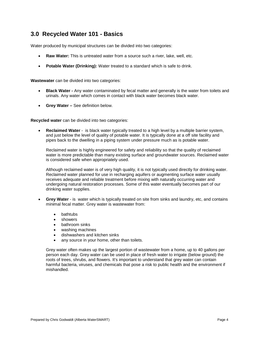### **3.0 Recycled Water 101 - Basics**

Water produced by municipal structures can be divided into two categories:

- **Raw Water:** This is untreated water from a source such a river, lake, well, etc.
- **Potable Water (Drinking):** Water treated to a standard which is safe to drink.

**Wastewater** can be divided into two categories:

- **Black Water -** Any water contaminated by fecal matter and generally is the water from toilets and urinals. Any water which comes in contact with black water becomes black water.
- **Grey Water –** See definition below.

**Recycled water** can be divided into two categories:

• **Reclaimed Water** - is black water typically treated to a high level by a multiple barrier system, and just below the level of quality of potable water. It is typically done at a off site facility and pipes back to the dwelling in a piping system under pressure much as is potable water.

Reclaimed water is highly engineered for safety and reliability so that the quality of reclaimed water is more predictable than many existing surface and groundwater sources. Reclaimed water is considered safe when appropriately used.

Although reclaimed water is of very high quality, it is not typically used directly for drinking water. Reclaimed water planned for use in recharging aquifers or augmenting surface water usually receives adequate and reliable treatment before mixing with naturally occurring water and undergoing natural restoration processes. Some of this water eventually becomes part of our drinking water supplies.

- **Grey Water** is water which is typically treated on site from sinks and laundry, etc, and contains minimal fecal matter. Grey water is wastewater from:
	- bathtubs
	- showers
	- bathroom sinks
	- washing machines
	- dishwashers and kitchen sinks
	- any source in your home, other than toilets.

Grey water often makes up the largest portion of wastewater from a home, up to 40 gallons per person each day. Grey water can be used in place of fresh water to irrigate (below ground) the roots of trees, shrubs, and flowers. It's important to understand that grey water can contain harmful bacteria, viruses, and chemicals that pose a risk to public health and the environment if mishandled.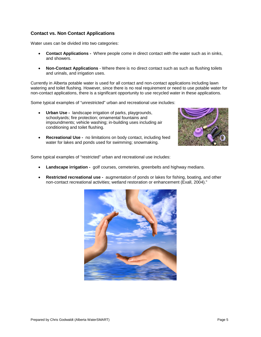#### **Contact vs. Non Contact Applications**

Water uses can be divided into two categories:

- **Contact Applications -** Where people come in direct contact with the water such as in sinks, and showers.
- **Non-Contact Applications** Where there is no direct contact such as such as flushing toilets and urinals, and irrigation uses.

Currently in Alberta potable water is used for all contact and non-contact applications including lawn watering and toilet flushing. However, since there is no real requirement or need to use potable water for non-contact applications, there is a significant opportunity to use recycled water in these applications.

Some typical examples of "unrestricted" urban and recreational use includes:

- **Urban Use -** landscape irrigation of parks, playgrounds, schoolyards; fire protection; ornamental fountains and impoundments; vehicle washing; in-building uses including air conditioning and toilet flushing.
- **Recreational Use -** no limitations on body contact, including feed water for lakes and ponds used for swimming; snowmaking.



Some typical examples of "restricted" urban and recreational use includes:

- **Landscape irrigation -** golf courses, cemeteries, greenbelts and highway medians.
- **Restricted recreational use -** augmentation of ponds or lakes for fishing, boating, and other non-contact recreational activities; wetland restoration or enhancement (Exall, 2004)."

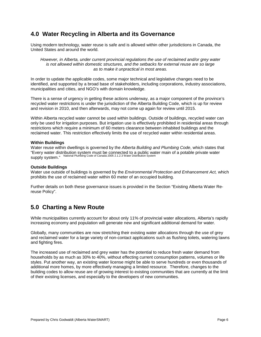### **4.0 Water Recycling in Alberta and its Governance**

Using modern technology, water reuse is safe and is allowed within other jurisdictions in Canada, the United States and around the world.

*However, in Alberta, under current provincial regulations the use of reclaimed and/or grey water is not allowed within domestic structures, and the setbacks for external reuse are so large as to make it unpractical in most areas.*

In order to update the applicable codes, some major technical and legislative changes need to be identified, and supported by a broad base of stakeholders, including corporations, industry associations, municipalities and cities, and NGO's with domain knowledge.

There is a sense of urgency in getting these actions underway, as a major component of the province's recycled water restrictions is under the jurisdiction of the Alberta Building Code, which is up for review and revision in 2010, and then afterwards, may not come up again for review until 2015.

Within Alberta recycled water cannot be used within buildings. Outside of buildings, recycled water can only be used for irrigation purposes. But irrigation use is effectively prohibited in residential areas through restrictions which require a minimum of 60 meters clearance between inhabited buildings and the reclaimed water. This restriction effectively limits the use of recycled water within residential areas.

#### **Within Buildings**

Water reuse within dwellings is governed by the *Alberta Building and Plumbing Code*, which states that "Every water distribution system must be connected to a public water main of a potable private water supply system." National Plumbing Code of Canada 2005 2.1.2.3 Water Distribution System

#### **Outside Buildings**

Water use outside of buildings is governed by the *Environmental Protection and Enhancement Act,* which prohibits the use of reclaimed water within 60 meter of an occupied building.

Further details on both these governance issues is provided in the Section "Existing Alberta Water Rereuse Policy".

### **5.0 Charting a New Route**

While municipalities currently account for about only 11% of provincial water allocations, Alberta's rapidly increasing economy and population will generate new and significant additional demand for water.

Globally, many communities are now stretching their existing water allocations through the use of grey and reclaimed water for a large variety of non-contact applications such as flushing toilets, watering lawns and fighting fires.

The increased use of reclaimed and grey water has the potential to reduce fresh water demand from households by as much as 30% to 40%, without effecting current consumption patterns, volumes or life styles. Put another way, an existing water license might be able to serve hundreds or even thousands of additional more homes, by more effectively managing a limited resource. Therefore, changes to the building codes to allow reuse are of growing interest to existing communities that are currently at the limit of their existing licenses, and especially to the developers of new communities.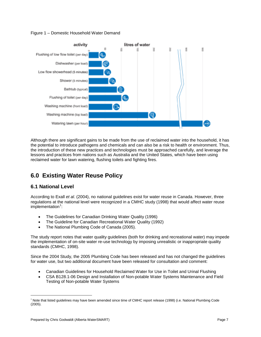



Although there are significant gains to be made from the use of reclaimed water into the household, it has the potential to introduce pathogens and chemicals and can also be a risk to health or environment. Thus, the introduction of these new practices and technologies must be approached carefully, and leverage the lessons and practices from nations such as Australia and the United States, which have been using reclaimed water for lawn watering, flushing toilets and fighting fires.

### **6.0 Existing Water Reuse Policy**

### **6.1 National Level**

According to Exall *et al*. (2004), no national guidelines exist for water reuse in Canada. However, three regulations at the national level were recognized in a CMHC study (1998) that would affect water reuse implementation<sup>[1](#page-6-0)</sup>:

- The Guidelines for Canadian Drinking Water Quality (1996)
- The Guideline for Canadian Recreational Water Quality (1992)
- The National Plumbing Code of Canada (2005).

The study report notes that water quality guidelines (both for drinking and recreational water) may impede the implementation of on-site water re-use technology by imposing unrealistic or inappropriate quality standards (CMHC, 1998).

Since the 2004 Study, the 2005 Plumbing Code has been released and has not changed the guidelines for water use, but two additional document have been released for consultation and comment:

- Canadian Guidelines for Household Reclaimed Water for Use in Toilet and Urinal Flushing
- CSA B128.1-06 Design and Installation of Non-potable Water Systems Maintenance and Field Testing of Non-potable Water Systems

<span id="page-6-0"></span>i<br>I <sup>1</sup> Note that listed guidelines may have been amended since time of CMHC report release (1998) (i.e. National Plumbing Code (2005).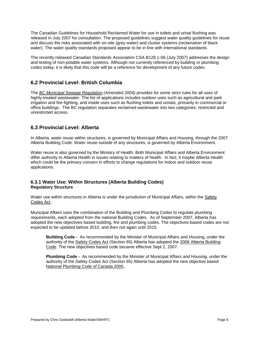The Canadian Guidelines for Household Reclaimed Water for use in toilets and urinal flushing was released in July 2007 for consultation. The proposed guidelines suggest water quality guidelines for reuse and discuss the risks associated with on-site (grey water) and cluster systems (reclamation of black water). The water quality standards proposed appear to be in line with international standards.

The recently released Canadian Standards Association CSA B128.1-06 (July 2007) addresses the design and testing of non-potable water systems. Although not currently referenced by building or plumbing codes today, it is likely that this code will be a reference for development of any future codes.

### **6.2 Provincial Level: British Columbia**

The *[BC Municipal Sewage Regulation](http://www.qp.gov.ab.ca/documents/Acts/E12.cfm?frm_isbn=0779717287) (Amended 2004)* provides for some strict rules for all uses of highly-treated wastewater. The list of applications includes outdoor uses such as agricultural and park irrigation and fire-fighting, and inside uses such as flushing toilets and urinals, primarily in commercial or office buildings. The BC regulation separates reclaimed wastewater into two categories: restricted and unrestricted access.

#### **6.3 Provincial Level: Alberta**

In Alberta, water reuse within structures, is governed by Municipal Affairs and Housing, through the 2007 Alberta Building Code. Water reuse outside of any structures, is governed by Alberta Environment.

Water reuse is also governed by the Ministry of Health. Both Municipal Affairs and Alberta Environment differ authority to Alberta Health in issues relating to matters of health. In fact, it maybe Alberta Health which could be the primary concern in efforts to change regulations for indoor and outdoor reuse applications.

#### **6.3.1 Water Use: Within Structures (Alberta Building Codes) Regulatory Structure**

Water use within structures in Alberta is under the jurisdiction of Municipal Affairs, within the [Safety](http://www.qp.gov.ab.ca/documents/Acts/S01.cfm?frm_isbn=9780779723652) [Codes Act](http://www.qp.gov.ab.ca/documents/Acts/S01.cfm?frm_isbn=9780779723652).

Municipal Affairs uses the combination of the Building and Plumbing Codes to regulate plumbing requirements, each adopted from the national Building Codes. As of September 2007, Alberta has adopted the new objectives-based building, fire and plumbing codes. The objectives-based codes are not expected to be updated before 2010, and then not again until 2015.

**Building Code -** As recommended by the Minister of Municipal Affairs and Housing, under the authority of the [Safety Codes Act](http://www.qp.gov.ab.ca/documents/Acts/S01.cfm?frm_isbn=9780779723652) (Section 65) Alberta has adopted the [2006 Alberta Building](http://www.qp.gov.ab.ca/documents/orders/orders_in_council/2007/607/2007_252.html)  [Code.](http://www.qp.gov.ab.ca/documents/orders/orders_in_council/2007/607/2007_252.html) The new objectives based code became effective Sept 2, 2007.

**Plumbing Code -** As recommended by the Minister of Municipal Affairs and Housing, under the authority of the Safety Codes Act (Section 65) Alberta has adopted the new objective based [National Plumbing Code of Canada 2005](http://www.qp.gov.ab.ca/documents/orders/orders_in_council/2007/607/2007_254.html).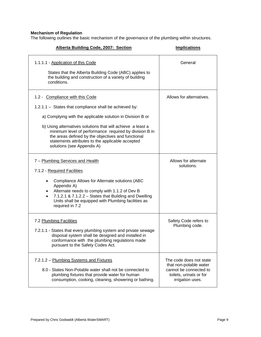#### **Mechanism of Regulation**

The following outlines the basic mechanism of the governance of the plumbing within structures.

| Alberta Building Code, 2007: Section                                                                                                                                                                                                                                                                                                                                                                                     | <b>Implications</b>                                                                                                        |
|--------------------------------------------------------------------------------------------------------------------------------------------------------------------------------------------------------------------------------------------------------------------------------------------------------------------------------------------------------------------------------------------------------------------------|----------------------------------------------------------------------------------------------------------------------------|
| 1.1.1.1 - Application of this Code<br>States that the Alberta Building Code (ABC) applies to<br>the building and construction of a variety of building<br>conditions.                                                                                                                                                                                                                                                    | General                                                                                                                    |
| 1.2 - Compliance with this Code<br>1.2.1.1 - States that compliance shall be achieved by:<br>a) Complying with the applicable solution in Division B or<br>b) Using alternatives solutions that will achieve a least a<br>minimum level of performance required by division B in<br>the areas defined by the objectives and functional<br>statements attributes to the applicable accepted<br>solutions (see Appendix A) | Allows for alternatives.                                                                                                   |
| 7 - Plumbing Services and Health<br>7.1.2 - Required Facilities<br>Compliance Allows for Alternate solutions (ABC<br>$\bullet$<br>Appendix A)<br>Alternate needs to comply with 1.1.2 of Dev B<br>$\bullet$<br>7.1.2.1 & $7.1.2.2 -$ States that Building and Dwelling<br>$\bullet$<br>Units shall be equipped with Plumbing facilities as<br>required in 7.2                                                            | Allows for alternate<br>solutions.                                                                                         |
| 7.2 Plumbing Facilities<br>7.2.1.1 - States that every plumbing system and private sewage<br>disposal system shall be designed and installed in<br>conformance with the plumbing regulations made<br>pursuant to the Safety Codes Act.                                                                                                                                                                                   | Safety Code refers to<br>Plumbing code.                                                                                    |
| 7.2.1.2 - Plumbing Systems and Fixtures<br>8.0 - States Non-Potable water shall not be connected to<br>plumbing fixtures that provide water for human<br>consumption, cooking, cleaning, showering or bathing.                                                                                                                                                                                                           | The code does not state<br>that non-potable water<br>cannot be connected to<br>toilets, urinals or for<br>irrigation uses. |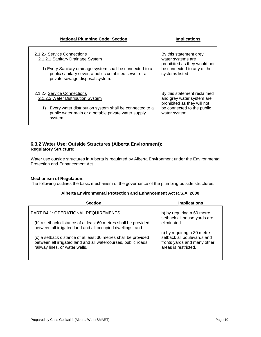#### **National Plumbing Code: Section <b>Implications**

| 2.1.2.- Service Connections                                                                                                                                                                         | By this statement grey                                                                                                                 |
|-----------------------------------------------------------------------------------------------------------------------------------------------------------------------------------------------------|----------------------------------------------------------------------------------------------------------------------------------------|
| 2.1.2.1 Sanitary Drainage System                                                                                                                                                                    | water systems are                                                                                                                      |
| 1) Every Sanitary drainage system shall be connected to a                                                                                                                                           | prohibited as they would not                                                                                                           |
| public sanitary sever, a public combined sewer or a                                                                                                                                                 | be connected to any of the                                                                                                             |
| private sewage disposal system.                                                                                                                                                                     | systems listed.                                                                                                                        |
| 2.1.2.- Service Connections<br>2.1.2.3 Water Distribution System<br>Every water distribution system shall be connected to a<br>1)<br>public water main or a potable private water supply<br>system. | By this statement reclaimed<br>and grey water system are<br>prohibited as they will not<br>be connected to the public<br>water system. |

#### **6.3.2 Water Use: Outside Structures (Alberta Environment): Regulatory Structure:**

Water use outside structures in Alberta is regulated by Alberta Environment under the Environmental Protection and Enhancement Act.

#### **Mechanism of Regulation:**

The following outlines the basic mechanism of the governance of the plumbing outside structures.

#### **Alberta Environmental Protection and Enhancement Act R.S.A. 2000**

| <b>Section</b>                                                                                                                                                     | <b>Implications</b>                                                                                             |
|--------------------------------------------------------------------------------------------------------------------------------------------------------------------|-----------------------------------------------------------------------------------------------------------------|
| <b>PART B4.1: OPERATIONAL REQUIREMENTS</b>                                                                                                                         | b) by requiring a 60 metre<br>setback all house yards are                                                       |
| (b) a setback distance of at least 60 metres shall be provided<br>between all irrigated land and all occupied dwellings; and                                       | eliminated.                                                                                                     |
| (c) a setback distance of at least 30 metres shall be provided<br>between all irrigated land and all watercourses, public roads,<br>railway lines, or water wells. | c) by requiring a 30 metre<br>setback all boulevards and<br>fronts yards and many other<br>areas is restricted. |
|                                                                                                                                                                    |                                                                                                                 |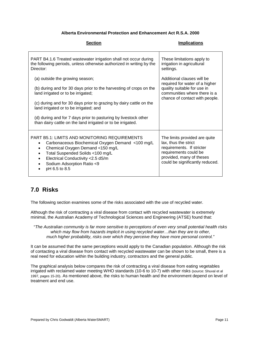#### **Alberta Environmental Protection and Enhancement Act R.S.A. 2000**

| <b>Section</b>                                                                                                                                                                                                                                                                                                                                                                                | <b>Implications</b>                                                                                                                                                        |
|-----------------------------------------------------------------------------------------------------------------------------------------------------------------------------------------------------------------------------------------------------------------------------------------------------------------------------------------------------------------------------------------------|----------------------------------------------------------------------------------------------------------------------------------------------------------------------------|
| PART B4.1.6 Treated wastewater irrigation shall not occur during<br>the following periods, unless otherwise authorized in writing by the<br>Director:                                                                                                                                                                                                                                         | These limitations apply to<br>irrigation in agricultural<br>settings.                                                                                                      |
| (a) outside the growing season;<br>(b) during and for 30 days prior to the harvesting of crops on the<br>land irrigated or to be irrigated;<br>(c) during and for 30 days prior to grazing by dairy cattle on the<br>land irrigated or to be irrigated; and<br>(d) during and for 7 days prior to pasturing by livestock other<br>than dairy cattle on the land irrigated or to be irrigated. | Additional clauses will be<br>required for water of a higher<br>quality suitable for use in<br>communities where there is a<br>chance of contact with people.              |
| <b>PART B5.1: LIMITS AND MONITORING REQUIREMENTS</b><br>Carbonaceous Biochemical Oxygen Demand <100 mg/L<br>$\bullet$<br>Chemical Oxygen Demand <150 mg/L<br>$\bullet$<br>Total Suspended Solids <100 mg/L<br>$\bullet$<br>Electrical Conductivity < 2.5 dS/m<br>$\bullet$<br>Sodium Adsorption Ratio <9<br>٠<br>pH 6.5 to 8.5                                                                | The limits provided are quite<br>lax, thus the strict<br>requirements. If stricter<br>requirements could be<br>provided, many of theses<br>could be significantly reduced. |

### **7.0 Risks**

The following section examines some of the risks associated with the use of recycled water.

Although the risk of contracting a viral disease from contact with recycled wastewater is extremely minimal, the Australian Academy of Technological Sciences and Engineering (ATSE) found that:

"*The Australian community is far more sensitive to perceptions of even very small potential health risks which may flow from hazards implicit in using recycled water…than they are to other, much higher probability, risks over which they perceive they have more personal control."*

It can be assumed that the same perceptions would apply to the Canadian population. Although the risk of contacting a viral disease from contact with recycled wastewater can be shown to be small, there is a real need for education within the building industry, contractors and the general public.

The graphical analysis below compares the risk of contracting a viral disease from eating vegetables irrigated with reclaimed water meeting WHO standards (10-6 to 10-7) with other risks (source: Shuval et al 1997, pages 15-20). As mentioned above, the risks to human health and the environment depend on level of treatment and end use.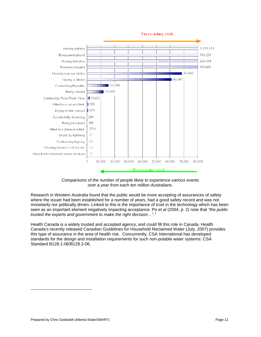

*Comparisons of the number of people likely to experience various events over a year from each ten million Australians.*

Research in Western Australia found that the public would be more accepting of assurances of safety where the issuer had been established for a number of years, had a good safety record and was not monetarily nor politically driven. Linked to this is the importance of trust in the technology which has been seen as an important element negatively impacting acceptance. Po *et al* (2004, p. 2) note that *"the public trusted the experts and government to make the right decision…"*. [2](#page-11-0)

Health Canada is a widely trusted and accepted agency, and could fill this role in Canada. Health Canada's recently released Canadian Guidelines for Household Reclaimed Water (July, 2007) provides this type of assurance in the area of health risk. Concurrently, CSA International has developed standards for the design and installation requirements for such non-potable water systems: CSA Standard B128.1-06/B128.2-06.

<span id="page-11-0"></span>÷,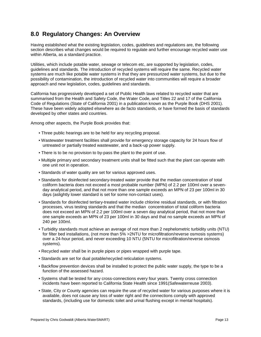### **8.0 Regulatory Changes: An Overview**

Having established what the existing legislation, codes, guidelines and regulations are, the following section describes what changes would be required to regulate and further encourage recycled water use within Alberta, as a standard practice.

Utilities, which include potable water, sewage or telecom etc, are supported by legislation, codes, guidelines and standards. The introduction of recycled systems will require the same. Recycled water systems are much like potable water systems in that they are pressurized water systems, but due to the possibility of contamination, the introduction of recycled water into communities will require a broader approach and new legislation, codes, guidelines and standards.

California has progressively developed a set of Public Health laws related to recycled water that are summarised from the Health and Safety Code, the Water Code, and Titles 22 and 17 of the California Code of Regulations (State of California 2001) in a publication known as the Purple Book (DHS 2001). These have been widely adopted elsewhere as de facto standards, or have formed the basis of standards developed by other states and countries.

Among other aspects, the Purple Book provides that:

- Three public hearings are to be held for any recycling proposal.
- Wastewater treatment facilities shall provide for emergency storage capacity for 24 hours flow of untreated or partially treated wastewater, and a back-up power supply.
- There is to be no provision to by-pass the plant to the point of use.
- Multiple primary and secondary treatment units shall be fitted such that the plant can operate with one unit not in operation.
- Standards of water quality are set for various approved uses.
- Standards for disinfected secondary-treated water provide that the median concentration of total coliform bacteria does not exceed a most probable number (MPN) of 2.2 per 100ml over a sevenday analytical period, and that not more than one sample exceeds an MPN of 23 per 100ml in 30 days (aslightly lower standard is set for some non-contact uses).
- Standards for disinfected tertiary-treated water include chlorine residual standards, or with filtration processes, virus testing standards and that the median concentration of total coliform bacteria does not exceed an MPN of 2.2 per 100ml over a seven day analytical period, that not more than one sample exceeds an MPN of 23 per 100ml in 30 days and that no sample exceeds an MPN of 240 per 100ml.
- Turbidity standards must achieve an average of not more than 2 nephelometric turbidity units (NTU) for filter bed installations, (not more than 5% >2NTU for microfiltration/reverse osmosis systems) over a 24-hour period, and never exceeding 10 NTU (5NTU for microfiltration/reverse osmosis systems).
- Recycled water shall be in purple pipes or pipes wrapped with purple tape.
- Standards are set for dual potable/recycled reticulation systems.
- Backflow prevention devices shall be installed to protect the public water supply, the type to be a function of the assessed hazard.
- Systems shall be tested for any cross-connections every four years. Twenty cross connection incidents have been reported to California State Health since 1991(Safewaterreuse 2003).
- State, City or County agencies can require the use of recycled water for various purposes where it is available, does not cause any loss of water right and the connections comply with approved standards, (including use for domestic toilet and urinal flushing except in mental hospitals).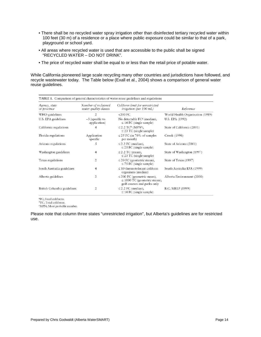- There shall be no recycled water spray irrigation other than disinfected tertiary recycled water within 100 feet (30 m) of a residence or a place where public exposure could be similar to that of a park, playground or school yard.
- All areas where recycled water is used that are accessible to the public shall be signed "RECYCLED WATER – DO NOT DRINK".
- The price of recycled water shall be equal to or less than the retail price of potable water.

While California pioneered large scale recycling many other countries and jurisdictions have followed, and recycle wastewater today. The Table below (Exall et al., 2004) shows a comparison of general water reuse guidelines.

|                              |                                              | <b>TABLE 1.</b> Comparison of general characteristics of water reuse guidelines and regulations    |                                  |
|------------------------------|----------------------------------------------|----------------------------------------------------------------------------------------------------|----------------------------------|
| Agency, state<br>or province | Number of reclaimed<br>water quality classes | Coliform limit for unrestricted<br>irrigation (per $100$ mL)                                       | Reference                        |
| WHO guidelines               | $\overline{2}$                               | $<$ 200 FC                                                                                         | World Health Organisation (1989) |
| U.S. EPA guidelines          | $~1$ (specific to<br>application)            | No detectable $FC^a$ (median),<br>$\leq$ 14 FC (single sample)                                     | U.S. EPA (1992)                  |
| California regulations       | 4                                            | $\leq$ 2.2 TC <sup>b</sup> (MPN <sup>c</sup> ),<br>$\leq$ 23 TC (single sample)                    | State of California (2001)       |
| Florida regulations          | Application<br>specific                      | $\leq$ 25 FC (in 70% of samples<br>per month)                                                      | Crook (1998)                     |
| Arizona regulations          | 5                                            | $\leq$ 2.2 FC (median),<br>$\leq$ 25 FC (single sample)                                            | State of Arizona (2001)          |
| Washington guidelines        | 4                                            | $\leq$ 2.2 TC (mean),<br>$\leq$ 23 TC (single sample)                                              | State of Washington (1997)       |
| Texas regulations            | 2                                            | $\leq$ 20 FC (geometric mean),<br>$\leq$ 75 FC (single sample)                                     | State of Texas (1997)            |
| South Australia guidelines   | 4                                            | $\leq$ 10 thermotolerant coliform<br>organisms (median)                                            | South Australia EPA (1999)       |
| Alberta guidelines           | $\overline{2}$                               | $\leq$ 200 FC (geometric mean),<br>$\leq$ 1000 TC (geometric mean);<br>golf courses and parks only | Alberta Environment (2000)       |
| British Columbia guidelines  | 2                                            | $\leq$ 2.2 FC (median),<br>$\leq$ 14 FC (single sample)                                            | B.C. MELP (1999)                 |

<sup>a</sup>FC; Fecal coliforms.

<sup>b</sup>TC; Total coliforms. "MPN; Most probable number.

Please note that column three states "unrestricted irrigation", but Alberta's guidelines are for restricted use.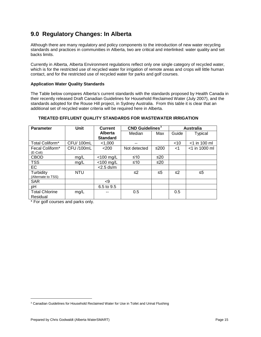### **9.0 Regulatory Changes: In Alberta**

Although there are many regulatory and policy components to the introduction of new water recycling standards and practices in communities in Alberta, two are critical and interlinked: water quality and set backs limits.

Currently in Alberta, Alberta Environment regulations reflect only one single category of recycled water, which is for the restricted use of recycled water for irrigation of remote areas and crops will little human contact, and for the restricted use of recycled water for parks and golf courses.

#### **Application Water Quality Standards**

The Table below compares Alberta's current standards with the standards proposed by Health Canada in their recently released Draft Canadian Guidelines for Household Reclaimed Water (July 2007), and the standards adopted for the Rouse Hill project, in Sydney Australia. From this table it is clear that an additional set of recycled water criteria will be required here in Alberta.

#### **TREATED EFFLUENT QUALITY STANDARDS FOR WASTEWATER IRRIGATION**

| <b>Parameter</b>      | <b>Unit</b> | <b>Current</b>  | $CND$ Guidelines <sup>3</sup> |           | <b>Australia</b> |                  |  |
|-----------------------|-------------|-----------------|-------------------------------|-----------|------------------|------------------|--|
|                       |             | Alberta         | Median                        | Max       | Guide            | Typical          |  |
|                       |             | <b>Standard</b> |                               |           |                  |                  |  |
| Total Coliform*       | CFU/100mL   | < 1,000         | --                            |           | $<$ 10           | $<$ 1 in 100 ml  |  |
| Fecal Coliform*       | CFU /100mL  | < 200           | Not detected                  | ≤200      | ا>               | $<$ 1 in 1000 ml |  |
| $(E$ -Coli)           |             |                 |                               |           |                  |                  |  |
| <b>CBOD</b>           | mg/L        | $<$ 100 mg/L    | ≤10                           | $\leq 20$ |                  |                  |  |
| <b>TSS</b>            | mg/L        | $<$ 100 mg/L    | ≤10                           | ≤20       |                  |                  |  |
| <b>EC</b>             |             | $<$ 2.5 ds/m    |                               |           |                  |                  |  |
| Turbidity             | <b>NTU</b>  |                 | ≤2                            | ≤5        | ≤2               | $\leq 5$         |  |
| (Alternate to TSS)    |             |                 |                               |           |                  |                  |  |
| <b>SAR</b>            |             | $\leq$          |                               |           |                  |                  |  |
| pH                    |             | 6.5 to 9.5      |                               |           |                  |                  |  |
| <b>Total Chlorine</b> | mg/L        |                 | 0.5                           |           | 0.5              |                  |  |
| Residual              |             |                 |                               |           |                  |                  |  |

\* For golf courses and parks only.

<span id="page-14-0"></span><sup>÷,</sup> <sup>3</sup> Canadian Guidelines for Household Reclaimed Water for Use in Toilet and Urinal Flushing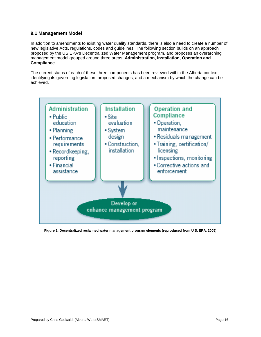#### **9.1 Management Model**

In addition to amendments to existing water quality standards, there is also a need to create a number of new legislative Acts, regulations, codes and guidelines. The following section builds on an approach proposed by the US EPA's Decentralized Water Management program, and proposes an overarching management model grouped around three areas: **Administration, Installation, Operation and Compliance**.

The current status of each of these three components has been reviewed within the Alberta context, identifying its governing legislation, proposed changes, and a mechanism by which the change can be achieved.



**Figure 1: Decentralized reclaimed water management program elements (reproduced from U.S. EPA, 2005)**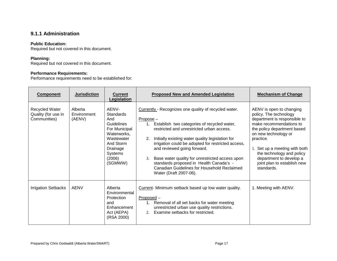### **9.1.1 Administration**

#### **Public Education:**

Required but not covered in this document.

#### **Planning:**

Required but not covered in this document.

#### **Performance Requirements:**

Performance requirements need to be established for:

| <b>Component</b>                                      | <b>Jurisdiction</b>              | <b>Current</b><br>Legislation                                                                                                                         | <b>Proposed New and Amended Legislation</b>                                                                                                                                                                                                                                                                                                                                                                                                                                                  | <b>Mechanism of Change</b>                                                                                                                                                                                                                                                                                              |
|-------------------------------------------------------|----------------------------------|-------------------------------------------------------------------------------------------------------------------------------------------------------|----------------------------------------------------------------------------------------------------------------------------------------------------------------------------------------------------------------------------------------------------------------------------------------------------------------------------------------------------------------------------------------------------------------------------------------------------------------------------------------------|-------------------------------------------------------------------------------------------------------------------------------------------------------------------------------------------------------------------------------------------------------------------------------------------------------------------------|
| Recycled Water<br>Quality (for use in<br>Communities) | Alberta<br>Environment<br>(AENV) | AENV-<br><b>Standards</b><br>And<br>Guidelines<br>For Municipal<br>Waterworks,<br>Wastewater<br>And Storm<br>Drainage<br>Systems<br>(2006)<br>(SGMWW) | Currently - Recognizes one quality of recycled water.<br>Propose-<br>1. Establish two categories of recycled water,<br>restricted and unrestricted urban access.<br>Initially existing water quality legislation for<br>2.<br>irrigation could be adopted for restricted access,<br>and reviewed going forward.<br>Base water quality for unrestricted access upon<br>3.<br>standards proposed in Health Canada's -<br>Canadian Guidelines for Household Reclaimed<br>Water (Draft 2007-06). | AENV is open to changing<br>policy. The technology<br>department is responsible to<br>make recommendations to<br>the policy department based<br>on new technology or<br>practice.<br>1. Set up a meeting with both<br>the technology and policy<br>department to develop a<br>joint plan to establish new<br>standards. |
| <b>Irrigation Setbacks</b>                            | <b>AENV</b>                      | Alberta<br>Environmental<br>Protection<br>and<br>Enhancement<br>Act (AEPA)<br>(RSA 2000)                                                              | Current- Minimum setback based up low water quality.<br>$Proposed -$<br>1. Removal of all set backs for water meeting<br>unrestricted urban use quality restrictions.<br>Examine setbacks for restricted.<br>2.                                                                                                                                                                                                                                                                              | 1. Meeting with AENV.                                                                                                                                                                                                                                                                                                   |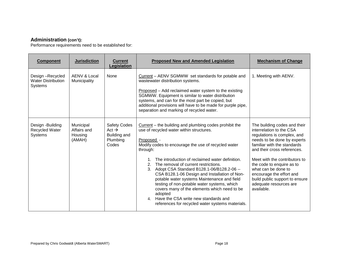#### **Administration (con't):**

Performance requirements need to be established for:

| <b>Component</b>                                               | <b>Jurisdiction</b>                           | <b>Current</b><br>Legislation                                                 | <b>Proposed New and Amended Legislation</b>                                                                                                                                                                                                                                                                                                                                                                                                                                                                                                                                                                                                                    | <b>Mechanism of Change</b>                                                                                                                                                                                                                                                                                                                                                      |
|----------------------------------------------------------------|-----------------------------------------------|-------------------------------------------------------------------------------|----------------------------------------------------------------------------------------------------------------------------------------------------------------------------------------------------------------------------------------------------------------------------------------------------------------------------------------------------------------------------------------------------------------------------------------------------------------------------------------------------------------------------------------------------------------------------------------------------------------------------------------------------------------|---------------------------------------------------------------------------------------------------------------------------------------------------------------------------------------------------------------------------------------------------------------------------------------------------------------------------------------------------------------------------------|
| Design-Recycled<br><b>Water Distribution</b><br><b>Systems</b> | AENV & Local<br>Municipality                  | None                                                                          | Current – AENV SGMWW set standards for potable and<br>wastewater distribution systems.<br>Proposed – Add reclaimed water system to the existing<br>SGMWW. Equipment is similar to water distribution<br>systems, and can for the most part be copied, but<br>additional provisions will have to be made for purple pipe,<br>separation and marking of recycled water.                                                                                                                                                                                                                                                                                          | 1. Meeting with AENV.                                                                                                                                                                                                                                                                                                                                                           |
| Design -Building<br>Recycled Water<br>Systems                  | Municipal<br>Affairs and<br>Housing<br>(AMAH) | <b>Safety Codes</b><br>Act $\rightarrow$<br>Building and<br>Plumbing<br>Codes | $Current$ – the building and plumbing codes prohibit the<br>use of recycled water within structures.<br>Proposed -<br>Modify codes to encourage the use of recycled water<br>through:<br>The introduction of reclaimed water definition.<br>2. The removal of current restrictions.<br>Adopt CSA Standard B128.1-06/B128.2-06 --<br>3.<br>CSA B128.1-06 Design and Installation of Non-<br>potable water systems Maintenance and field<br>testing of non-potable water systems, which<br>covers many of the elements which need to be<br>adopted<br>Have the CSA write new standards and<br>4 <sub>1</sub><br>references for recycled water systems materials. | The building codes and their<br>interrelation to the CSA<br>regulations is complex, and<br>needs to be done by experts<br>familiar with the standards<br>and their cross references.<br>Meet with the contributors to<br>the code to enquire as to<br>what can be done to<br>encourage the effort and<br>build public support to ensure<br>adequate resources are<br>available. |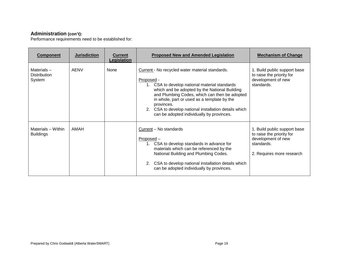### **Administration (con't):**

Performance requirements need to be established for:

| <b>Component</b>                               | <b>Jurisdiction</b> | <b>Current</b><br>Legislation | <b>Proposed New and Amended Legislation</b>                                                                                                                                                                                                                                                                                                                                         | <b>Mechanism of Change</b>                                                                                                 |
|------------------------------------------------|---------------------|-------------------------------|-------------------------------------------------------------------------------------------------------------------------------------------------------------------------------------------------------------------------------------------------------------------------------------------------------------------------------------------------------------------------------------|----------------------------------------------------------------------------------------------------------------------------|
| Materials $-$<br><b>Distribution</b><br>System | AENV                | None                          | Current - No recycled water material standards.<br>Proposed -<br>1. CSA to develop national material standards<br>which and be adopted by the National Building<br>and Plumbing Codes, which can then be adopted<br>in whole, part or used as a template by the<br>provinces.<br>2. CSA to develop national installation details which<br>can be adopted individually by provinces. | 1. Build public support base<br>to raise the priority for<br>development of new<br>standards.                              |
| Materials - Within<br><b>Buildings</b>         | AMAH                |                               | Current - No standards<br>Proposed -<br>1. CSA to develop standards in advance for<br>materials which can be referenced by the<br>National Building and Plumbing Codes.<br>2. CSA to develop national installation details which<br>can be adopted individually by provinces.                                                                                                       | 1. Build public support base<br>to raise the priority for<br>development of new<br>standards.<br>2. Requires more research |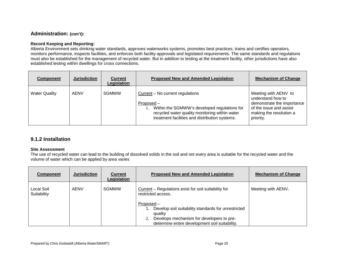### **Administration: (con't):**

#### **Record Keeping and Reporting:**

Alberta Environment sets drinking water standards, approves waterworks systems, promotes best practices, trains and certifies operators, monitors performance, inspects facilities, and enforces both facility approvals and legislated requirements. The same standards and regulations must also be established for the management of recycled water. But in addition to testing at the treatment facility, other jurisdictions have also established testing within dwellings for cross connections.

| <b>Component</b>     | <b>Jurisdiction</b> | <b>Current</b><br>Legislation | <b>Proposed New and Amended Legislation</b>                                                                                                                                                        | <b>Mechanism of Change</b>                                                                                                                 |
|----------------------|---------------------|-------------------------------|----------------------------------------------------------------------------------------------------------------------------------------------------------------------------------------------------|--------------------------------------------------------------------------------------------------------------------------------------------|
| <b>Water Quality</b> | AENV                | <b>SGMWW</b>                  | Current – No current regulations<br>Proposed –<br>Within the SGMWW's developed regulations for<br>recycled water quality monitoring within water<br>treatment facilities and distribution systems. | Meeting with AENV to<br>understand how to<br>demonstrate the importance<br>of the issue and assist<br>making the resolution a<br>priority. |

#### **9.1.2 Installation**

#### **Site Assessment**

The use of recycled water can lead to the building of dissolved solids in the soil and not every area is suitable for the recycled water and the volume of water which can be applied by area varies

| <b>Component</b>          | <b>Jurisdiction</b> | <b>Current</b><br>Legislation | <b>Proposed New and Amended Legislation</b>                                                                                                                                 | <b>Mechanism of Change</b> |
|---------------------------|---------------------|-------------------------------|-----------------------------------------------------------------------------------------------------------------------------------------------------------------------------|----------------------------|
| Local Soil<br>Suitability | <b>AENV</b>         | <b>SGMWW</b>                  | Current – Regulations exist for soil suitability for<br>restricted access.                                                                                                  | Meeting with AENV.         |
|                           |                     |                               | Proposed –<br>Develop soil suitability standards for unrestricted<br>quality<br>Develops mechanism for developers to pre-<br>determine entire development soil suitability. |                            |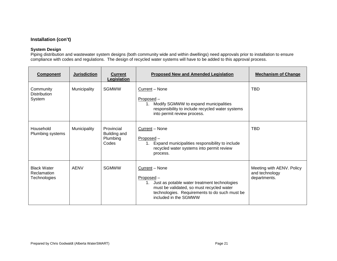#### **Installation (con't)**

#### **System Design**

Piping distribution and wastewater system designs (both community wide and within dwellings) need approvals prior to installation to ensure compliance with codes and regulations. The design of recycled water systems will have to be added to this approval process.

| <b>Component</b>                                         | <b>Jurisdiction</b> | <b>Current</b><br>Legislation                   | <b>Proposed New and Amended Legislation</b>                                                                                                                                                              | <b>Mechanism of Change</b>                                  |
|----------------------------------------------------------|---------------------|-------------------------------------------------|----------------------------------------------------------------------------------------------------------------------------------------------------------------------------------------------------------|-------------------------------------------------------------|
| Community<br><b>Distribution</b><br>System               | Municipality        | <b>SGMWW</b>                                    | Current - None<br>Proposed-<br>Modify SGMWW to expand municipalities<br>1 <sup>1</sup><br>responsibility to include recycled water systems<br>into permit review process.                                | <b>TBD</b>                                                  |
| Household<br>Plumbing systems                            | Municipality        | Provincial<br>Building and<br>Plumbing<br>Codes | Current - None<br>$Proposed -$<br>Expand municipalities responsibility to include<br>$1_{\cdot}$<br>recycled water systems into permit review<br>process.                                                | <b>TBD</b>                                                  |
| <b>Black Water</b><br><b>Reclamation</b><br>Technologies | AENV                | <b>SGMWW</b>                                    | Current - None<br>Proposed-<br>Just as potable water treatment technologies<br>1.<br>must be validated, so must recycled water<br>technologies. Requirements to do such must be<br>included in the SGMWW | Meeting with AENV. Policy<br>and technology<br>departments. |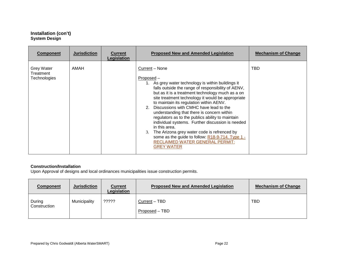#### **Installation (con't) System Design**

| <b>Component</b>                                      | <b>Jurisdiction</b> | <b>Current</b><br>Legislation | <b>Proposed New and Amended Legislation</b>                                                                                                                                                                                                                                                                                                                                                                                                                                                                                                                                                                                                                                       | <b>Mechanism of Change</b> |  |
|-------------------------------------------------------|---------------------|-------------------------------|-----------------------------------------------------------------------------------------------------------------------------------------------------------------------------------------------------------------------------------------------------------------------------------------------------------------------------------------------------------------------------------------------------------------------------------------------------------------------------------------------------------------------------------------------------------------------------------------------------------------------------------------------------------------------------------|----------------------------|--|
| <b>Grey Water</b><br>Treatment<br><b>Technologies</b> | AMAH                |                               | Current – None<br>Proposed –<br>1. As grey water technology is within buildings it<br>falls outside the range of responsibility of AENV,<br>but as it is a treatment technology much as a on<br>site treatment technology it would be appropriate<br>to maintain its regulation within AENV.<br>2. Discussions with CMHC have lead to the<br>understanding that there is concern within<br>regulators as to the publics ability to maintain<br>individual systems. Further discussion is needed<br>in this area.<br>The Arizona grey water code is refrenced by<br>3.<br>some as the guide to follow: R18-9-714. Type 1 -<br>RECLAIMED WATER GENERAL PERMIT:<br><b>GREY WATER</b> | TBD                        |  |

#### **Construction/Installation**

Upon Approval of designs and local ordinances municipalities issue construction permits.

| Component              | <b>Jurisdiction</b> | <b>Current</b><br>Legislation | <b>Proposed New and Amended Legislation</b> | <b>Mechanism of Change</b> |
|------------------------|---------------------|-------------------------------|---------------------------------------------|----------------------------|
| During<br>Construction | Municipality        | ?????                         | Current - TBD<br>Proposed – TBD             | <b>TBD</b>                 |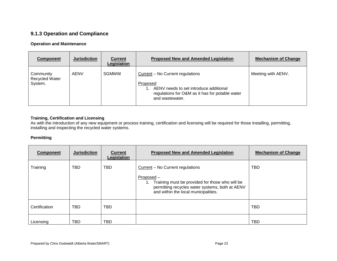### **9.1.3 Operation and Compliance**

#### **Operation and Maintenance**

| Component                                     | <b>Jurisdiction</b> | <b>Current</b><br>Legislation | <b>Proposed New and Amended Legislation</b>                                                                                                                  | <b>Mechanism of Change</b> |
|-----------------------------------------------|---------------------|-------------------------------|--------------------------------------------------------------------------------------------------------------------------------------------------------------|----------------------------|
| Community<br><b>Recycled Water</b><br>System. | <b>AENV</b>         | <b>SGMWW</b>                  | Current - No Current regulations<br>Proposed<br>AENV needs to set introduce additional<br>regulations for O&M as it has for potable water<br>and wastewater. | Meeting with AENV.         |

#### **Training, Certification and Licensing**

As with the introduction of any new equipment or process training, certification and licensing will be required for those installing, permitting, installing and inspecting the recycled water systems.

#### **Permitting**

| <b>Component</b> | <b>Jurisdiction</b> | <b>Current</b><br>Legislation | <b>Proposed New and Amended Legislation</b>                                                                                                                                                          | <b>Mechanism of Change</b> |
|------------------|---------------------|-------------------------------|------------------------------------------------------------------------------------------------------------------------------------------------------------------------------------------------------|----------------------------|
| Training         | TBD                 | <b>TBD</b>                    | Current - No Current regulations<br>$Proposed -$<br>Training must be provided for those who will be<br>1.<br>permitting recycles water systems, both at AENV<br>and within the local municipalities. | <b>TBD</b>                 |
| Certification    | <b>TBD</b>          | <b>TBD</b>                    |                                                                                                                                                                                                      | <b>TBD</b>                 |
| Licensing        | TBD                 | <b>TBD</b>                    |                                                                                                                                                                                                      | TBD                        |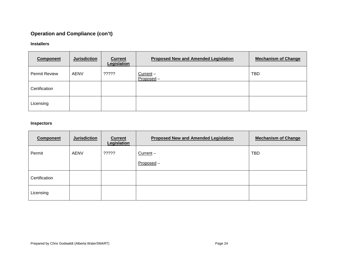## **Operation and Compliance (con't)**

#### **Installers**

| <b>Component</b>     | <b>Jurisdiction</b> | <b>Current</b><br>Legislation | <b>Proposed New and Amended Legislation</b> | <b>Mechanism of Change</b> |
|----------------------|---------------------|-------------------------------|---------------------------------------------|----------------------------|
| <b>Permit Review</b> | <b>AENV</b>         | ?????                         | Current-<br>Proposed-                       | <b>TBD</b>                 |
| Certification        |                     |                               |                                             |                            |
| Licensing            |                     |                               |                                             |                            |

#### **Inspectors**

| <b>Component</b> | <b>Jurisdiction</b> | <b>Current</b><br>Legislation | <b>Proposed New and Amended Legislation</b> | <b>Mechanism of Change</b> |
|------------------|---------------------|-------------------------------|---------------------------------------------|----------------------------|
| Permit           | <b>AENV</b>         | ?????                         | Current-                                    | <b>TBD</b>                 |
|                  |                     |                               | Proposed -                                  |                            |
| Certification    |                     |                               |                                             |                            |
| Licensing        |                     |                               |                                             |                            |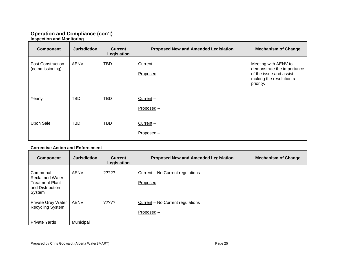#### **Operation and Compliance (con't) Inspection and Monitoring**

| <b>Component</b>                     | <b>Jurisdiction</b> | <b>Current</b><br>Legislation | <b>Proposed New and Amended Legislation</b> | <b>Mechanism of Change</b>                                                                                            |
|--------------------------------------|---------------------|-------------------------------|---------------------------------------------|-----------------------------------------------------------------------------------------------------------------------|
| Post Construction<br>(commissioning) | AENV                | <b>TBD</b>                    | $Current -$<br>Proposed-                    | Meeting with AENV to<br>demonstrate the importance<br>of the issue and assist<br>making the resolution a<br>priority. |
| Yearly                               | <b>TBD</b>          | <b>TBD</b>                    | Current -<br>Proposed-                      |                                                                                                                       |
| Upon Sale                            | <b>TBD</b>          | <b>TBD</b>                    | $Current -$<br>Proposed-                    |                                                                                                                       |

#### **Corrective Action and Enforcement**

| <b>Component</b>                                                                           | <b>Jurisdiction</b> | <b>Current</b><br>Legislation | <b>Proposed New and Amended Legislation</b>      | <b>Mechanism of Change</b> |
|--------------------------------------------------------------------------------------------|---------------------|-------------------------------|--------------------------------------------------|----------------------------|
| Communal<br><b>Reclaimed Water</b><br><b>Treatment Plant</b><br>and Distribution<br>System | <b>AENV</b>         | ?????                         | Current - No Current regulations<br>Proposed-    |                            |
| Private Grey Water<br><b>Recycling System</b>                                              | <b>AENV</b>         | ?????                         | Current – No Current regulations<br>$Proposed -$ |                            |
| <b>Private Yards</b>                                                                       | Municipal           |                               |                                                  |                            |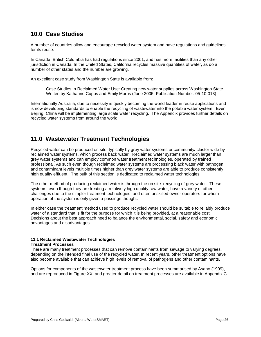### **10.0 Case Studies**

A number of countries allow and encourage recycled water system and have regulations and guidelines for its reuse.

In Canada, British Columbia has had regulations since 2001, and has more facilities than any other jurisdiction in Canada. In the United States, California recycles massive quantities of water, as do a number of other states and the number are growing.

An excellent case study from Washington State is available from:

Case Studies In Reclaimed Water Use: Creating new water supplies across Washington State Written by Katharine Cupps and Emily Morris (June 2005, Publication Number: 05-10-013)

Internationally Australia, due to necessity is quickly becoming the world leader in reuse applications and is now developing standards to enable the recycling of wastewater into the potable water system. Even Beijing, China will be implementing large scale water recycling. The Appendix provides further details on recycled water systems from around the world.

### **11.0 Wastewater Treatment Technologies**

Recycled water can be produced on site, typically by grey water systems or community/ cluster wide by reclaimed water systems, which process back water. Reclaimed water systems are much larger than grey water systems and can employ common water treatment technologies, operated by trained professional. As such even though reclaimed water systems are processing black water with pathogen and contaminant levels multiple times higher than grey water systems are able to produce consistently high quality effluent. The bulk of this section is dedicated to reclaimed water technologies.

The other method of producing reclaimed water is through the on site recycling of grey water. These systems, even though they are treating a relatively high quality raw water, have a variety of other challenges due to the simpler treatment technologies, and often unskilled owner operators for whom operation of the system is only given a passingn thought.

In either case the treatment method used to produce recycled water should be suitable to reliably produce water of a standard that is fit for the purpose for which it is being provided, at a reasonable cost. Decisions about the best approach need to balance the environmental, social, safety and economic advantages and disadvantages.

### **11.1 Reclaimed Wastewater Technologies**

#### **Treatment Processes**

There are many treatment processes that can remove contaminants from sewage to varying degrees, depending on the intended final use of the recycled water. In recent years, other treatment options have also become available that can achieve high levels of removal of pathogens and other contaminants.

Options for components of the wastewater treatment process have been summarised by Asano (1999), and are reproduced in Figure XX, and greater detail on treatment processes are available in Appendix C.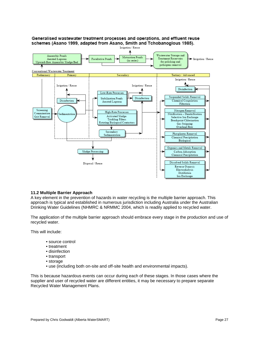

#### Generalised wastewater treatment processes and operations, and effluent reuse schemes (Asano 1999, adapted from Asano, Smith and Tchobanoglous 1985).

#### **11.2 Multiple Barrier Approach**

A key element in the prevention of hazards in water recycling is the multiple barrier approach. This approach is typical and established in numerous jurisdiction including Australia under the Australian Drinking Water Guidelines (NHMRC & NRMMC 2004, which is readily applied to recycled water.

The application of the multiple barrier approach should embrace every stage in the production and use of recycled water.

This will include:

- source control
- treatment
- disinfection
- transport
- storage
- use (including both on-site and off-site health and environmental impacts).

This is because hazardous events can occur during each of these stages. In those cases where the supplier and user of recycled water are different entities, it may be necessary to prepare separate Recycled Water Management Plans.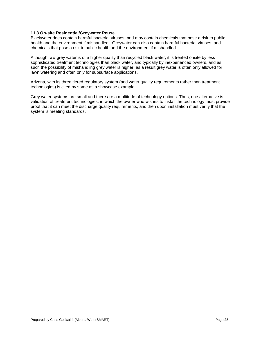#### **11.3 On-site Residential/Greywater Reuse**

Blackwater does contain harmful bacteria, viruses, and may contain chemicals that pose a risk to public health and the environment if mishandled. Greywater can also contain harmful bacteria, viruses, and chemicals that pose a risk to public health and the environment if mishandled.

Although raw grey water is of a higher quality than recycled black water, it is treated onsite by less sophisticated treatment technologies than black water, and typically by inexperienced owners, and as such the possibility of mishandling grey water is higher, as a result grey water is often only allowed for lawn watering and often only for subsurface applications.

Arizona, with its three tiered regulatory system (and water quality requirements rather than treatment technologies) is cited by some as a showcase example.

Grey water systems are small and there are a multitude of technology options. Thus, one alternative is validation of treatment technologies, in which the owner who wishes to install the technology must provide proof that it can meet the discharge quality requirements, and then upon installation must verify that the system is meeting standards.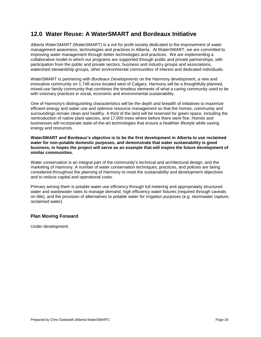### **12.0 Water Reuse: A WaterSMART and Bordeaux Initiative**

*Alberta WaterSMART* (WaterSMART) is a not for profit society dedicated to the improvement of water management awareness, technologies and practices in Alberta. At WaterSMART, we are committed to improving water management through better technologies and practices. We are implementing a collaborative model in which our programs are supported through public and private partnerships, with participation from the public and private sectors, business and industry groups and associations, watershed stewardship groups, other environmental communities of interest and dedicated individuals.

WaterSMART is partnering with *Bordeaux Developments* on the Harmony development, a new and innovative community on 1,748 acres located west of Calgary. Harmony will be a thoughtfully planned, mixed-use family community that combines the timeless elements of what a caring community used to be with visionary practices in social, economic and environmental sustainability.

One of Harmony's distinguishing characteristics will be the depth and breadth of initiatives to maximize efficient energy and water use and optimize resource management so that the homes, community and surroundings remain clean and healthy. A third of the land will be reserved for green space, including the reintroduction of native plant species, and 17,000 trees where before there were five. Homes and businesses will incorporate state-of-the-art technologies that ensure a healthier lifestyle while saving energy and resources.

**WaterSMART and Bordeaux's objective is to be the first development in Alberta to use reclaimed water for non-potable domestic purposes, and demonstrate that water sustainability is good business, in hopes the project will serve as an example that will inspire the future development of similar communities.**

Water conservation is an integral part of the community's technical and architectural design, and the marketing of Harmony. A number of water conservation techniques, practices, and policies are being considered throughout the planning of Harmony to meet the sustainability and development objectives and to reduce capital and operational costs.

Primary among them is potable water use efficiency through full metering and appropriately structured water and wastewater rates to manage demand, high efficiency water fixtures (required through caveats on title), and the provision of alternatives to potable water for irrigation purposes (e.g. stormwater capture, reclaimed water).

#### **Plan Moving Forward**

Under development.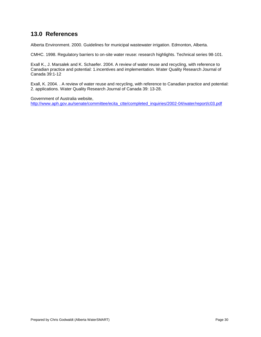### **13.0 References**

Alberta Environment. 2000. Guidelines for municipal wastewater irrigation. Edmonton, Alberta.

CMHC. 1998. Regulatory barriers to on-site water reuse: research highlights. Technical series 98-101.

Exall K., J. Marsalek and K. Schaefer. 2004. A review of water reuse and recycling, with reference to Canadian practice and potential: 1.incentives and implementation. Water Quality Research Journal of Canada 39:1-12

Exall, K. 2004. . A review of water reuse and recycling, with reference to Canadian practice and potential: 2. applications. Water Quality Research Journal of Canada 39: 13-28.

Government of Australia website, [http://www.aph.gov.au/senate/committee/ecita\\_ctte/completed\\_inquiries/2002-04/water/report/c03.pdf](http://www.aph.gov.au/senate/committee/ecita_ctte/completed_inquiries/2002-04/water/report/c03.pdf)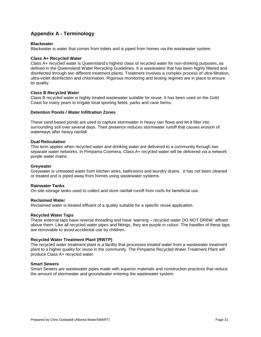### **Appendix A - Terminology**

#### **Blackwater**

Blackwater is water that comes from toilets and is piped from homes via the wastewater system.

#### **Class A+ Recycled Water**

Class A+ recycled water is Queensland's highest class of recycled water for non-drinking purposes, as defined in the Queensland Water Recycling Guidelines. It is wastewater that has been highly filtered and disinfected through two different treatment plants. Treatment involves a complex process of ultra-filtration, ultra-violet disinfection and chlorination. Rigorous monitoring and testing regimes are in place to ensure its quality.

#### **Class B Recycled Water**

Class B recycled water is highly treated wastewater suitable for reuse. It has been used on the Gold Coast for many years to irrigate local sporting fields, parks and cane farms.

#### **Detention Ponds / Water Infiltration Zones**

These sand based ponds are used to capture stormwater in heavy rain flows and let it filter into surrounding soil over several days. Their presence reduces stormwater runoff that causes erosion of waterways after heavy rainfall.

#### **Dual Reticulation**

This term applies when recycled water and drinking water are delivered to a community through two separate water networks. In Pimpama Coomera, Class A+ recycled water will be delivered via a network purple water mains.

#### **Greywater**

Greywater is untreated water from kitchen sinks, bathrooms and laundry drains. It has not been cleaned or treated and is piped away from homes using wastewater systems.

#### **Rainwater Tanks**

On-site storage tanks used to collect and store rainfall runoff from roofs for beneficial use.

#### **Reclaimed Water**

*Reclaimed water* is treated effluent of a quality suitable for a specific reuse application.

#### **Recycled Water Taps**

These external taps have reverse threading and have 'warning – recycled water DO NOT DRINK' affixed above them. Like all recycled water pipes and fittings, they are purple in colour. The handles of these taps are removable to avoid accidental use by children.

#### **Recycled Water Treatment Plant (RWTP)**

The recycled water treatment plant is a facility that processes treated water from a wastewater treatment plant to a higher quality for reuse in the community. The Pimpama Recycled Water Treatment Plant will produce Class A+ recycled water.

#### **Smart Sewers**

Smart Sewers are wastewater pipes made with superior materials and construction practices that reduce the amount of stormwater and groundwater entering the wastewater system.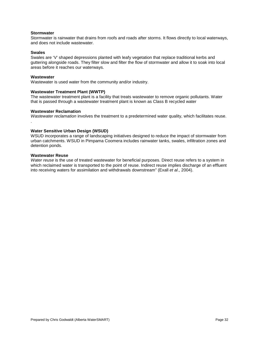#### **Stormwater**

Stormwater is rainwater that drains from roofs and roads after storms. It flows directly to local waterways, and does not include wastewater.

#### **Swales**

Swales are 'V' shaped depressions planted with leafy vegetation that replace traditional kerbs and guttering alongside roads. They filter slow and filter the flow of stormwater and allow it to soak into local areas before it reaches our waterways.

#### **Wastewater**

.

Wastewater is used water from the community and/or industry.

#### **Wastewater Treatment Plant (WWTP)**

The wastewater treatment plant is a facility that treats wastewater to remove organic pollutants. Water that is passed through a wastewater treatment plant is known as Class B recycled water

#### **Wastewater Reclamation**

*Wastewater reclamation* involves the treatment to a predetermined water quality, which facilitates reuse.

#### **Water Sensitive Urban Design (WSUD)**

WSUD incorporates a range of landscaping initiatives designed to reduce the impact of stormwater from urban catchments. WSUD in Pimpama Coomera includes rainwater tanks, swales, infiltration zones and detention ponds.

#### **Wastewater Reuse**

*Water reuse* is the use of treated wastewater for beneficial purposes. Direct reuse refers to a system in which reclaimed water is transported to the point of reuse. Indirect reuse implies discharge of an effluent into receiving waters for assimilation and withdrawals downstream" (Exall *et al*., 2004).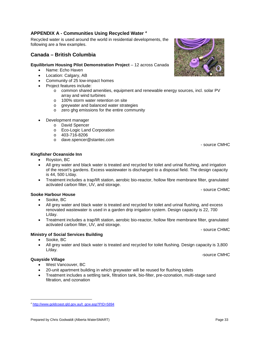### **APPENDIX A - Communities Using Recycled Water [4](#page-32-0)**

Recycled water is used around the world in residential developments, the following are a few examples.

### **Canada – British Columbia**

#### **Equilibrium Housing Pilot Demonstration Project** – 12 across Canada

- Name: Echo Haven
- Location: Calgary, AB
- Community of 25 low-impact homes
- Project features include:
	- o common shared amenities, equipment and renewable energy sources, incl. solar PV array and wind turbines
	- o 100% storm water retention on site
	- o greywater and balanced water strategies<br>
	o zero gha emissions for the entire commu
	- zero ghg emissions for the entire community
- Development manager
	- o David Spencer
	- o Eco-Logic Land Corporation
	- o 403-716-8206
	- o dave.spencer@stantec.com

- **Kingfisher Oceanside Inn**
	- Royston, BC
	- All grey water and black water is treated and recycled for toilet and urinal flushing, and irrigation of the resort's gardens. Excess wastewater is discharged to a disposal field. The design capacity is 44, 500 L/day.
	- Treatment includes a trap/lift station, aerobic bio-reactor, hollow fibre membrane filter, granulated activated carbon filter, UV, and storage.

**Sooke Harbour House**

- Sooke, BC
- All grey water and black water is treated and recycled for toilet and urinal flushing, and excess renovated wastewater is used in a garden drip irrigation system. Design capacity is 22, 700 L/day.
- Treatment includes a trap/lift station, aerobic bio-reactor, hollow fibre membrane filter, granulated activated carbon filter, UV, and storage.

- source CHMC

- source CHMC

- source CMHC

#### **Ministry of Social Services Building**

- Sooke, BC
- All grey water and black water is treated and recycled for toilet flushing. Design capacity is 3,800 L/day.

-source CMHC

- **Quayside Village** • West Vancouver, BC
	- 20-unit apartment building in which greywater will be reused for flushing toilets
	- Treatment includes a settling tank, filtration tank, bio-filter, pre-ozonation, multi-stage sand filtration, and ozonation



<span id="page-32-0"></span><sup>÷,</sup> <sup>4</sup> [http://www.goldcoast.qld.gov.au/t\\_gcw.asp?PID=5894](http://www.goldcoast.qld.gov.au/t_gcw.asp?PID=5894)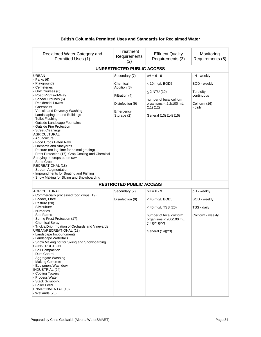#### **British Columbia Permitted Uses and Standards for Reclaimed Water**

| Reclaimed Water Category and<br>Permitted Uses (1)                                                                                                                                                                                                                                                                                                                                                                                                                                                                                                                                                                                                                    | Treatment<br>Requirements<br>(2)                                                                            | <b>Effluent Quality</b><br>Requirements (3)                                                                                                         | Monitoring<br>Requirements (5)                                                       |
|-----------------------------------------------------------------------------------------------------------------------------------------------------------------------------------------------------------------------------------------------------------------------------------------------------------------------------------------------------------------------------------------------------------------------------------------------------------------------------------------------------------------------------------------------------------------------------------------------------------------------------------------------------------------------|-------------------------------------------------------------------------------------------------------------|-----------------------------------------------------------------------------------------------------------------------------------------------------|--------------------------------------------------------------------------------------|
|                                                                                                                                                                                                                                                                                                                                                                                                                                                                                                                                                                                                                                                                       | <b>UNRESTRICTED PUBLIC ACCESS</b>                                                                           |                                                                                                                                                     |                                                                                      |
| <b>URBAN</b><br>- Parks (6)<br>- Playgrounds<br>- Cemeteries<br>- Golf Courses (6)<br>- Road Rights-of-Way<br>- School Grounds (6)<br>- Residential Lawns<br>- Greenbelts<br>- Vehicle and Driveway Washing<br>- Landscaping around Buildings<br>- Toilet Flushing<br>- Outside Landscape Fountains<br>- Outside Fire Protection<br>- Street Cleanings<br><b>AGRICULTURAL</b><br>- Aquaculture<br>- Food Crops Eaten Raw<br>- Orchards and Vineyards<br>- Pasture (no lag time for animal grazing)<br>- Frost Protection (17), Crop Cooling and Chemical<br>Spraying on crops eaten raw                                                                               | Secondary (7)<br>Chemical<br>Addition (8)<br>Filtration (4)<br>Disinfection (9)<br>Emergency<br>Storage (2) | $pH = 6 - 9$<br>$\leq$ 10 mg/L BOD5<br>$< 2$ NTU (10)<br>number of fecal coliform<br>organisms $< 2.2/100$ mL<br>(11)(12)<br>General (13) (14) (15) | pH - weekly<br>BOD - weekly<br>Turbidity -<br>continuous<br>Coliform (16)<br>- daily |
| - Seed Crops<br>RECREATIONAL (18)<br>- Stream Augmentation<br>- Impoundments for Boating and Fishing<br>- Snow Making for Skiing and Snowboarding                                                                                                                                                                                                                                                                                                                                                                                                                                                                                                                     | <b>RESTRICTED PUBLIC ACCESS</b>                                                                             |                                                                                                                                                     |                                                                                      |
| <b>AGRICULTURAL</b>                                                                                                                                                                                                                                                                                                                                                                                                                                                                                                                                                                                                                                                   | Secondary (7)                                                                                               | $pH = 6 - 9$                                                                                                                                        | pH - weekly                                                                          |
| - Commercially processed food crops (19)<br>- Fodder, Fibre<br>- Pasture (20)<br>- Silviculture<br>- Nurseries<br>- Sod Farms<br>- Spring Frost Protection (17)<br>- Chemical Spray<br>- Trickle/Drip Irrigation of Orchards and Vineyards<br>URBAN/RECREATIONAL (18)<br>- Landscape Impoundments<br>- Landscape Waterfalls<br>- Snow Making not for Skiing and Snowboarding<br><b>CONSTRUCTION</b><br>- Soil Compaction<br>- Dust Control<br>- Aggregate Washing<br>- Making Concrete<br>- Equipment Washdown<br><b>INDUSTRIAL (24)</b><br>- Cooling Towers<br>- Process Water<br>- Stack Scrubbing<br>- Boiler Feed<br><b>ENVIRONMENTAL (18)</b><br>- Wetlands (25) | Disinfection (9)                                                                                            | $\leq$ 45 mg/L BOD5<br>$\leq$ 45 mg/L TSS (26)<br>number of fecal coliform<br>organisms $\leq$ 200/100 mL<br>(11)(21)(22)<br>General (14)(23)       | BOD - weekly<br>TSS - daily<br>Coliform - weekly                                     |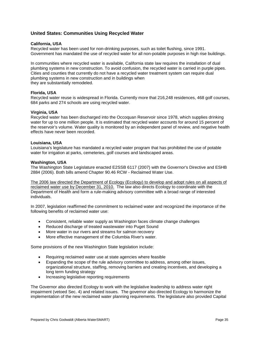#### **United States: Communities Using Recycled Water**

#### **California, USA**

Recycled water has been used for non-drinking purposes, such as toilet flushing, since 1991. Government has mandated the use of recycled water for all non-potable purposes in high rise buildings.

In communities where recycled water is available, California state law requires the installation of dual plumbing systems in new construction. To avoid confusion, the recycled water is carried in purple pipes. Cities and counties that currently do not have a recycled water treatment system can require dual plumbing systems in new construction and in buildings when they are substantially remodeled.

#### **Florida, USA**

Recycled water reuse is widespread in Florida. Currently more that 216,248 residences, 468 golf courses, 684 parks and 274 schools are using recycled water.

#### **Virginia, USA**

Recycled water has been discharged into the Occoquan Reservoir since 1978, which supplies drinking water for up to one million people. It is estimated that recycled water accounts for around 15 percent of the reservoir's volume. Water quality is monitored by an independent panel of review, and negative health effects have never been recorded.

#### **Louisiana, USA**

Louisiana's legislature has mandated a recycled water program that has prohibited the use of potable water for irrigation at parks, cemeteries, golf courses and landscaped areas.

#### **Washington, USA**

The Washington State Legislature enacted E2SSB 6117 (2007) with the Governor's Directive and ESHB 2884 (2006). Both bills amend Chapter 90.46 RCW - Reclaimed Water Use.

The 2006 law directed the Department of Ecology (Ecology) to develop and adopt rules on all aspects of reclaimed water use by December 31, 2010. The law also directs Ecology to coordinate with the Department of Health and form a rule-making advisory committee with a broad range of interested individuals.

In 2007, legislation reaffirmed the commitment to reclaimed water and recognized the importance of the following benefits of reclaimed water use:

- Consistent, reliable water supply as Washington faces climate change challenges
- Reduced discharge of treated wastewater into Puget Sound
- More water in our rivers and streams for salmon recovery
- More effective management of the Columbia River's water.

Some provisions of the new Washington State legislation include:

- Requiring reclaimed water use at state agencies where feasible
- Expanding the scope of the rule advisory committee to address, among other issues, organizational structure, staffing, removing barriers and creating incentives, and developing a long term funding strategy
- Increasing legislative reporting requirements

The Governor also directed Ecology to work with the legislative leadership to address water right impairment (vetoed Sec. 4) and related issues. The governor also directed Ecology to harmonize the implementation of the new reclaimed water planning requirements. The legislature also provided Capital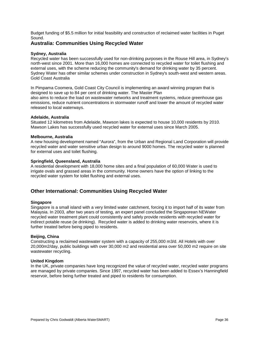Budget funding of \$5.5 million for initial feasibility and construction of reclaimed water facilities in Puget Sound.

#### **Australia: Communities Using Recycled Water**

#### **Sydney, Australia**

Recycled water has been successfully used for non-drinking purposes in the Rouse Hill area, in Sydney's north-west since 2001. More than 16,000 homes are connected to recycled water for toilet flushing and external uses, with the scheme reducing the community's demand for drinking water by 35 percent. Sydney Water has other similar schemes under construction in Sydney's south-west and western areas. Gold Coast Australia

In Pimpama Coomera, Gold Coast City Council is implementing an award winning program that is designed to save up to 84 per cent of drinking water. The Master Plan also aims to reduce the load on wastewater networks and treatment systems, reduce greenhouse gas emissions, reduce nutrient concentrations in stormwater runoff and lower the amount of recycled water released to local waterways.

#### **Adelaide, Australia**

Situated 12 kilometres from Adelaide, Mawson lakes is expected to house 10,000 residents by 2010. Mawson Lakes has successfully used recycled water for external uses since March 2005.

#### **Melbourne, Australia**

A new housing development named "Aurora", from the Urban and Regional Land Corporation will provide recycled water and water sensitive urban design to around 9000 homes. The recycled water is planned for external uses and toilet flushing.

#### **Springfield, Queensland, Australia**

A residential development with 18,000 home sites and a final population of 60,000 Water is used to irrigate ovals and grassed areas in the community. Home owners have the option of linking to the recycled water system for toilet flushing and external uses.

#### **Other International: Communities Using Recycled Water**

#### **Singapore**

Singapore is a small island with a very limited water catchment, forcing it to import half of its water from Malaysia. In 2003, after two years of testing, an expert panel concluded the Singaporean NEWater recycled water treatment plant could consistently and safely provide residents with recycled water for indirect potable reuse (ie drinking). Recycled water is added to drinking water reservoirs, where it is further treated before being piped to residents.

#### **Beijing, China**

Constructing a reclaimed wastewater system with a capacity of 255,000 m3/d. All Hotels with over 20,000m2/day, public buildings with over 30,000 m2 and residential area over 50,000 m2 require on site wastewater recycling.

#### **United Kingdom**

In the UK, private companies have long recognized the value of recycled water, recycled water programs are managed by private companies. Since 1997, recycled water has been added to Essex's Hanningfield reservoir, before being further treated and piped to residents for consumption.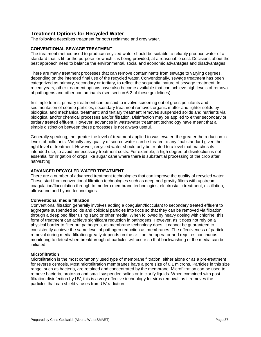#### **Treatment Options for Recycled Water**

The following describes treatment for both reclaimed and grey water.

#### **CONVENTIONAL SEWAGE TREATMENT**

The treatment method used to produce recycled water should be suitable to reliably produce water of a standard that is fit for the purpose for which it is being provided, at a reasonable cost. Decisions about the best approach need to balance the environmental, social and economic advantages and disadvantages.

There are many treatment processes that can remove contaminants from sewage to varying degrees, depending on the intended final use of the recycled water. Conventionally, sewage treatment has been categorized as primary, secondary or tertiary, to reflect the sequential nature of sewage treatment. In recent years, other treatment options have also become available that can achieve high levels of removal of pathogens and other contaminants (see section 6.2 of these guidelines).

In simple terms, primary treatment can be said to involve screening out of gross pollutants and sedimentation of coarse particles; secondary treatment removes organic matter and lighter solids by biological and mechanical treatment; and tertiary treatment removes suspended solids and nutrients via biological and/or chemical processes and/or filtration. Disinfection may be applied to either secondary or tertiary treated effluent. However, advances in wastewater treatment technology have meant that a simple distinction between these processes is not always useful.

Generally speaking, the greater the level of treatment applied to wastewater, the greater the reduction in levels of pollutants. Virtually any quality of source water can be treated to any final standard given the right level of treatment. However, recycled water should only be treated to a level that matches its intended use, to avoid unnecessary treatment costs. For example, a high degree of disinfection is not essential for irrigation of crops like sugar cane where there is substantial processing of the crop after harvesting.

#### **ADVANCED RECYCLED WATER TREATMENT**

There are a number of advanced treatment technologies that can improve the quality of recycled water. These start from conventional filtration technologies such as deep bed gravity filters with upstream coagulation/flocculation through to modern membrane technologies, electrostatic treatment, distillation, ultrasound and hybrid technologies.

#### **Conventional media filtration**

Conventional filtration generally involves adding a coagulant/flocculant to secondary treated effluent to aggregate suspended solids and colloidal particles into flocs so that they can be removed via filtration through a deep bed filter using sand or other media. When followed by heavy dosing with chlorine, this form of treatment can achieve significant reduction in pathogens. However, as it does not rely on a physical barrier to filter out pathogens, as membrane technology does, it cannot be guaranteed to consistently achieve the same level of pathogen reduction as membranes. The effectiveness of particle removal during media filtration greatly depends on the skill on the operator and requires continuous monitoring to detect when breakthrough of particles will occur so that backwashing of the media can be initiated.

#### **Microfiltration**

Microfiltration is the most commonly used type of membrane filtration, either alone or as a pre-treatment for reverse osmosis. Most microfiltration membranes have a pore size of 0.1 microns. Particles in this size range, such as bacteria, are retained and concentrated by the membrane. Microfiltration can be used to remove bacteria, protozoa and small suspended solids or to clarify liquids. When combined with postfiltration disinfection by UV, this is a very effective technology for virus removal, as it removes the particles that can shield viruses from UV radiation.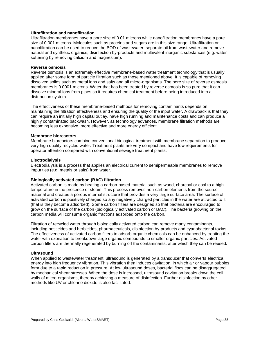#### **Ultrafiltration and nanofiltration**

Ultrafiltration membranes have a pore size of 0.01 microns while nanofiltration membranes have a pore size of 0.001 microns. Molecules such as proteins and sugars are in this size range. Ultrafiltration or nanofiltration can be used to reduce the BOD of wastewater, separate oil from wastewater and remove natural and synthetic organics, disinfection by-products and multivalent inorganic substances (e.g. water softening by removing calcium and magnesium).

#### **Reverse osmosis**

Reverse osmosis is an extremely effective membrane-based water treatment technology that is usually applied after some form of particle filtration such as those mentioned above. It is capable of removing dissolved solids such as metal ions and salts and all micro-organisms. The pore size of reverse osmosis membranes is 0.0001 microns. Water that has been treated by reverse osmosis is so pure that it can dissolve mineral ions from pipes so it requires chemical treatment before being introduced into a distribution system.

The effectiveness of these membrane-based methods for removing contaminants depends on maintaining the filtration effectiveness and ensuring the quality of the input water. A drawback is that they can require an initially high capital outlay, have high running and maintenance costs and can produce a highly contaminated backwash. However, as technology advances, membrane filtration methods are becoming less expensive, more effective and more energy efficient.

#### **Membrane bioreactors**

Membrane bioreactors combine conventional biological treatment with membrane separation to produce very high quality recycled water. Treatment plants are very compact and have low requirements for operator attention compared with conventional sewage treatment plants.

#### **Electrodialysis**

Electrodialysis is a process that applies an electrical current to semipermeable membranes to remove impurities (e.g. metals or salts) from water.

#### **Biologically activated carbon (BAC) filtration**

Activated carbon is made by heating a carbon-based material such as wood, charcoal or coal to a high temperature in the presence of steam. This process removes non-carbon elements from the source material and creates a porous internal structure that provides a very large surface area. The surface of activated carbon is positively charged so any negatively charged particles in the water are attracted to it (that is they become adsorbed). Some carbon filters are designed so that bacteria are encouraged to grow on the surface of the carbon (biologically activated carbon or BAC). The bacteria growing on the carbon media will consume organic fractions adsorbed onto the carbon.

Filtration of recycled water through biologically activated carbon can remove many contaminants, including pesticides and herbicides, pharmaceuticals, disinfection by-products and cyanobacterial toxins. The effectiveness of activated carbon filters to adsorb organic chemicals can be enhanced by treating the water with ozonation to breakdown large organic compounds to smaller organic particles. Activated carbon filters are thermally regenerated by burning off the contaminants, after which they can be reused.

#### **Ultrasound**

When applied to wastewater treatment, ultrasound is generated by a transducer that converts electrical energy into high frequency vibration. This vibration then induces cavitation, in which air or vapour bubbles form due to a rapid reduction in pressure. At low ultrasound doses, bacterial flocs can be disaggregated by mechanical shear stresses. When the dose is increased, ultrasound cavitation breaks down the cell walls of micro-organisms, thereby achieving a measure of disinfection. Further disinfection by other methods like UV or chlorine dioxide is also facilitated.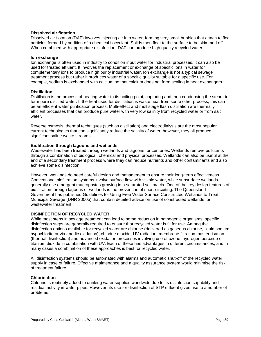#### **Dissolved air flotation**

Dissolved air flotation (DAF) involves injecting air into water, forming very small bubbles that attach to floc particles formed by addition of a chemical flocculant. Solids then float to the surface to be skimmed off. When combined with appropriate disinfection, DAF can produce high quality recycled water.

#### **Ion exchange**

Ion exchange is often used in industry to condition input water for industrial processes. It can also be used for treated effluent. It involves the replacement or exchange of specific ions in water for complementary ions to produce high purity industrial water. Ion exchange is not a typical sewage treatment process but rather it produces water of a specific quality suitable for a specific use. For example, sodium is exchanged with calcium so that calcium does not form scaling in heat exchangers.

#### **Distillation**

Distillation is the process of heating water to its boiling point, capturing and then condensing the steam to form pure distilled water. If the heat used for distillation is waste heat from some other process, this can be an efficient water purification process. Multi-effect and multistage flash distillation are thermally efficient processes that can produce pure water with very low salinity from recycled water or from salt water.

Reverse osmosis, thermal techniques (such as distillation) and electrodialysis are the most popular current technologies that can significantly reduce the salinity of water; however, they all produce significant saline waste streams.

#### **Biofiltration through lagoons and wetlands**

Wastewater has been treated through wetlands and lagoons for centuries. Wetlands remove pollutants through a combination of biological, chemical and physical processes. Wetlands can also be useful at the end of a secondary treatment process where they can reduce nutrients and other contaminants and also achieve some disinfection.

However, wetlands do need careful design and management to ensure their long-term effectiveness. Conventional biofiltration systems involve surface flow with visible water, while subsurface wetlands generally use emergent macrophytes growing in a saturated soil matrix. One of the key design features of biofiltration through lagoons or wetlands is the prevention of short-circuiting. The Queensland Government has published Guidelines for Using Free Water Surface Constructed Wetlands to Treat Municipal Sewage (DNR 2000b) that contain detailed advice on use of constructed wetlands for wastewater treatment.

#### **DISINFECTION OF RECYCLED WATER**

While most steps in sewage treatment can lead to some reduction in pathogenic organisms, specific disinfection steps are generally required to ensure that recycled water is fit for use. Among the disinfection options available for recycled water are chlorine (delivered as gaseous chlorine, liquid sodium hypochlorite or via anodic oxidation), chlorine dioxide, UV radiation, membrane filtration, pasteurisation (thermal disinfection) and advanced oxidation processes involving use of ozone, hydrogen peroxide or titanium dioxide in combination with UV. Each of these has advantages in different circumstances, and in many cases a combination of these approaches is best for recycled water.

All disinfection systems should be automated with alarms and automatic shut-off of the recycled water supply in case of failure. Effective maintenance and a quality assurance system would minimise the risk of treatment failure.

#### **Chlorination**

Chlorine is routinely added to drinking water supplies worldwide due to its disinfection capability and residual activity in water pipes. However, its use for disinfection of STP effluent gives rise to a number of problems.